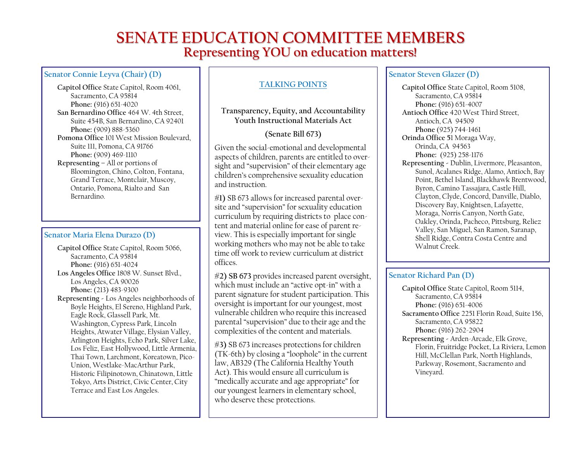# **SENATE EDUCATION COMMITTEE MEMBERS Representing YOU on education matters!**

#### **Senator Connie Leyva (Chair) (D)**

**Capitol Office** State Capitol, Room 4061, Sacramento, CA 95814 **Phone:** (916) 651-4020 **San Bernardino Office** 464 W. 4th Street, Suite 454B, San Bernardino, CA 92401 **Phone:** (909) 888-5360 **Pomona Office** 101 West Mission Boulevard, Suite 111, Pomona, CA 91766 **Phone:** (909) 469-1110 **Representing –** All or portions of Bloomington, Chino, Colton, Fontana, Grand Terrace, Montclair, Muscoy, Ontario, Pomona, Rialto and San Bernardino.

#### **Senator Maria Elena Durazo (D)**

**Capitol Office** State Capitol, Room 5066, Sacramento, CA 95814 **Phone:** (916) 651-4024 **Los Angeles Office** 1808 W. Sunset Blvd., Los Angeles, CA 90026 **Phone:** (213) 483-9300 **Representing -** Los Angeles neighborhoods of Boyle Heights, El Sereno, Highland Park, Eagle Rock, Glassell Park, Mt. Washington, Cypress Park, Lincoln Heights, Atwater Village, Elysian Valley, Arlington Heights, Echo Park, Silver Lake, Los Feliz, East Hollywood, Little Armenia, Thai Town, Larchmont, Koreatown, Pico-Union, Westlake-MacArthur Park, Historic Filipinotown, Chinatown, Little Tokyo, Arts District, Civic Center, City Terrace and East Los Angeles.

#### **TALKING POINTS**

### **Transparency, Equity, and Accountability Youth Instructional Materials Act**

## **(Senate Bill 673)**

Given the social-emotional and developmental aspects of children, parents are entitled to oversight and "supervision" of their elementary age children's comprehensive sexuality education and instruction.

**#1)** SB 673 allows for increased parental oversite and "supervision" for sexuality education curriculum by requiring districts to place content and material online for ease of parent review. This is especially important for single working mothers who may not be able to take time off work to review curriculum at district offices.

**#2) SB 673** provides increased parent oversight, which must include an "active opt-in" with a parent signature for student participation. This oversight is important for our youngest, most vulnerable children who require this increased parental "supervision" due to their age and the complexities of the content and materials.

**#3)** SB 673 increases protections for children (TK-6th) by closing a "loophole" in the current law, AB329 (The California Healthy Youth Act). This would ensure all curriculum is "medically accurate and age appropriate" for our youngest learners in elementary school, who deserve these protections.

#### **Senator Steven Glazer (D)**

**Capitol Office** State Capitol, Room 5108, Sacramento, CA 95814 **Phone:** (916) 651-4007 **Antioch Office** 420 West Third Street, Antioch, CA 94509 **Phone** (925) 744-1461 **Orinda Office 5**1 Moraga Way, Orinda, CA 94563 **Phone:** (925) 258-1176 **Representing -** Dublin, Livermore, Pleasanton, Sunol, Acalanes Ridge, Alamo, Antioch, Bay Point, Bethel Island, Blackhawk Brentwood, Byron, Camino Tassajara, Castle Hill, Clayton, Clyde, Concord, Danville, Diablo, Discovery Bay, Knightsen, Lafayette, Moraga, Norris Canyon, North Gate, Oakley, Orinda, Pacheco, Pittsburg, Reliez Valley, San Miguel, San Ramon, Saranap, Shell Ridge, Contra Costa Centre and Walnut Creek.

## **Senator Richard Pan (D)**

**Capitol Office** State Capitol, Room 5114, Sacramento, CA 95814 **Phone:** (916) 651-4006 **Sacramento Office** 2251 Florin Road, Suite 156, Sacramento, CA 95822 **Phone:** (916) 262-2904 **Representing -** Arden-Arcade, Elk Grove, Florin, Fruitridge Pocket, La Riviera, Lemon Hill, McClellan Park, North Highlands, Parkway, Rosemont, Sacramento and Vineyard.